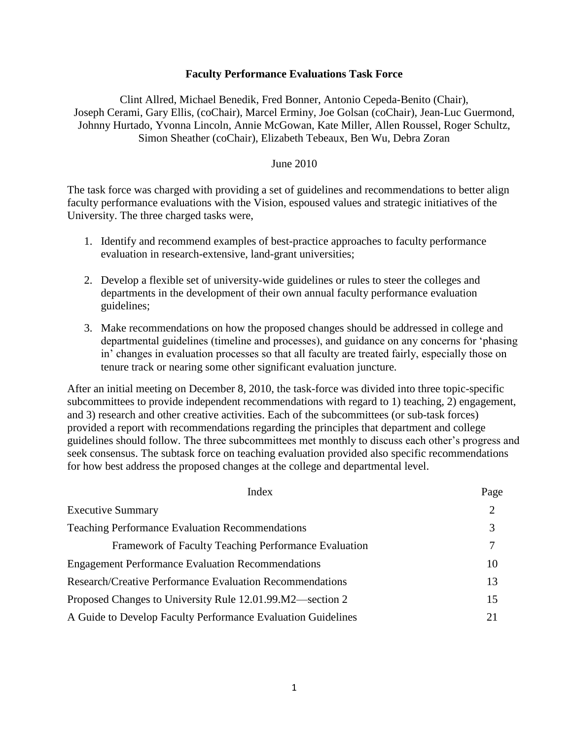### **Faculty Performance Evaluations Task Force**

Clint Allred, Michael Benedik, Fred Bonner, Antonio Cepeda-Benito (Chair), Joseph Cerami, Gary Ellis, (coChair), Marcel Erminy, Joe Golsan (coChair), Jean-Luc Guermond, Johnny Hurtado, Yvonna Lincoln, Annie McGowan, Kate Miller, Allen Roussel, Roger Schultz, Simon Sheather (coChair), Elizabeth Tebeaux, Ben Wu, Debra Zoran

### June 2010

The task force was charged with providing a set of guidelines and recommendations to better align faculty performance evaluations with the Vision, espoused values and strategic initiatives of the University. The three charged tasks were,

- 1. Identify and recommend examples of best-practice approaches to faculty performance evaluation in research-extensive, land-grant universities;
- 2. Develop a flexible set of university-wide guidelines or rules to steer the colleges and departments in the development of their own annual faculty performance evaluation guidelines;
- 3. Make recommendations on how the proposed changes should be addressed in college and departmental guidelines (timeline and processes), and guidance on any concerns for 'phasing in' changes in evaluation processes so that all faculty are treated fairly, especially those on tenure track or nearing some other significant evaluation juncture.

After an initial meeting on December 8, 2010, the task-force was divided into three topic-specific subcommittees to provide independent recommendations with regard to 1) teaching, 2) engagement, and 3) research and other creative activities. Each of the subcommittees (or sub-task forces) provided a report with recommendations regarding the principles that department and college guidelines should follow. The three subcommittees met monthly to discuss each other's progress and seek consensus. The subtask force on teaching evaluation provided also specific recommendations for how best address the proposed changes at the college and departmental level.

| Index                                                           | Page |
|-----------------------------------------------------------------|------|
| <b>Executive Summary</b>                                        | 2    |
| <b>Teaching Performance Evaluation Recommendations</b>          | 3    |
| Framework of Faculty Teaching Performance Evaluation            | 7    |
| <b>Engagement Performance Evaluation Recommendations</b>        | 10   |
| <b>Research/Creative Performance Evaluation Recommendations</b> | 13   |
| Proposed Changes to University Rule 12.01.99.M2—section 2       | 15   |
| A Guide to Develop Faculty Performance Evaluation Guidelines    | 21   |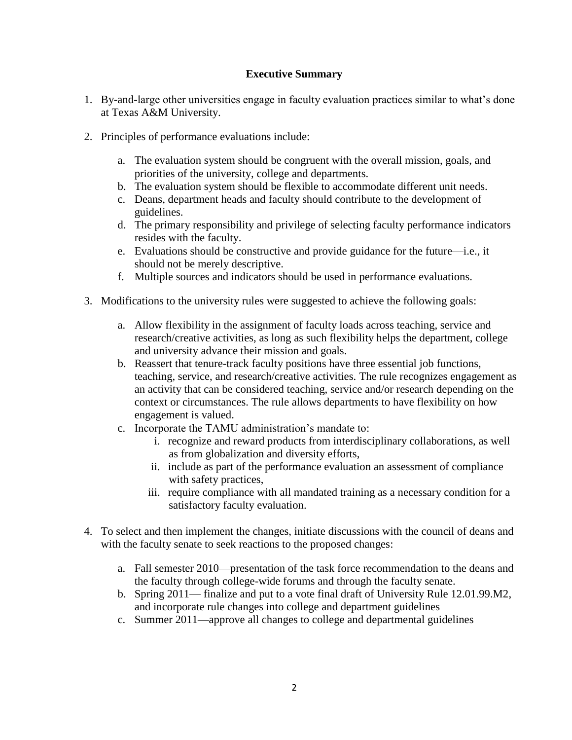# **Executive Summary**

- 1. By-and-large other universities engage in faculty evaluation practices similar to what's done at Texas A&M University.
- 2. Principles of performance evaluations include:
	- a. The evaluation system should be congruent with the overall mission, goals, and priorities of the university, college and departments.
	- b. The evaluation system should be flexible to accommodate different unit needs.
	- c. Deans, department heads and faculty should contribute to the development of guidelines.
	- d. The primary responsibility and privilege of selecting faculty performance indicators resides with the faculty.
	- e. Evaluations should be constructive and provide guidance for the future—i.e., it should not be merely descriptive.
	- f. Multiple sources and indicators should be used in performance evaluations.
- 3. Modifications to the university rules were suggested to achieve the following goals:
	- a. Allow flexibility in the assignment of faculty loads across teaching, service and research/creative activities, as long as such flexibility helps the department, college and university advance their mission and goals.
	- b. Reassert that tenure-track faculty positions have three essential job functions, teaching, service, and research/creative activities. The rule recognizes engagement as an activity that can be considered teaching, service and/or research depending on the context or circumstances. The rule allows departments to have flexibility on how engagement is valued.
	- c. Incorporate the TAMU administration's mandate to:
		- i. recognize and reward products from interdisciplinary collaborations, as well as from globalization and diversity efforts,
		- ii. include as part of the performance evaluation an assessment of compliance with safety practices,
		- iii. require compliance with all mandated training as a necessary condition for a satisfactory faculty evaluation.
- 4. To select and then implement the changes, initiate discussions with the council of deans and with the faculty senate to seek reactions to the proposed changes:
	- a. Fall semester 2010—presentation of the task force recommendation to the deans and the faculty through college-wide forums and through the faculty senate.
	- b. Spring 2011— finalize and put to a vote final draft of University Rule 12.01.99.M2, and incorporate rule changes into college and department guidelines
	- c. Summer 2011—approve all changes to college and departmental guidelines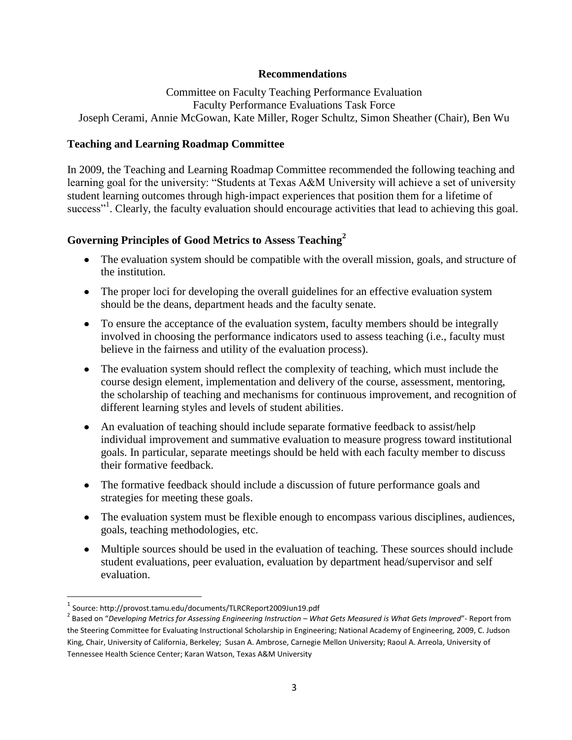### **Recommendations**

Committee on Faculty Teaching Performance Evaluation Faculty Performance Evaluations Task Force Joseph Cerami, Annie McGowan, Kate Miller, Roger Schultz, Simon Sheather (Chair), Ben Wu

# **Teaching and Learning Roadmap Committee**

In 2009, the Teaching and Learning Roadmap Committee recommended the following teaching and learning goal for the university: "Students at Texas A&M University will achieve a set of university student learning outcomes through high‐impact experiences that position them for a lifetime of success"<sup>1</sup>. Clearly, the faculty evaluation should encourage activities that lead to achieving this goal.

# **Governing Principles of Good Metrics to Assess Teaching<sup>2</sup>**

- The evaluation system should be compatible with the overall mission, goals, and structure of the institution.
- The proper loci for developing the overall guidelines for an effective evaluation system should be the deans, department heads and the faculty senate.
- To ensure the acceptance of the evaluation system, faculty members should be integrally involved in choosing the performance indicators used to assess teaching (i.e., faculty must believe in the fairness and utility of the evaluation process).
- The evaluation system should reflect the complexity of teaching, which must include the course design element, implementation and delivery of the course, assessment, mentoring, the scholarship of teaching and mechanisms for continuous improvement, and recognition of different learning styles and levels of student abilities.
- An evaluation of teaching should include separate formative feedback to assist/help individual improvement and summative evaluation to measure progress toward institutional goals. In particular, separate meetings should be held with each faculty member to discuss their formative feedback.
- The formative feedback should include a discussion of future performance goals and strategies for meeting these goals.
- The evaluation system must be flexible enough to encompass various disciplines, audiences, goals, teaching methodologies, etc.
- Multiple sources should be used in the evaluation of teaching. These sources should include student evaluations, peer evaluation, evaluation by department head/supervisor and self evaluation.

 $\overline{a}$ 

<sup>1</sup> Source: http://provost.tamu.edu/documents/TLRCReport2009Jun19.pdf

<sup>&</sup>lt;sup>2</sup> Based on "Developing Metrics for Assessing Engineering Instruction – What Gets Measured is What Gets Improved"- Report from the Steering Committee for Evaluating Instructional Scholarship in Engineering; National Academy of Engineering, 2009, C. Judson King, Chair, University of California, Berkeley; Susan A. Ambrose, Carnegie Mellon University; Raoul A. Arreola, University of Tennessee Health Science Center; Karan Watson, Texas A&M University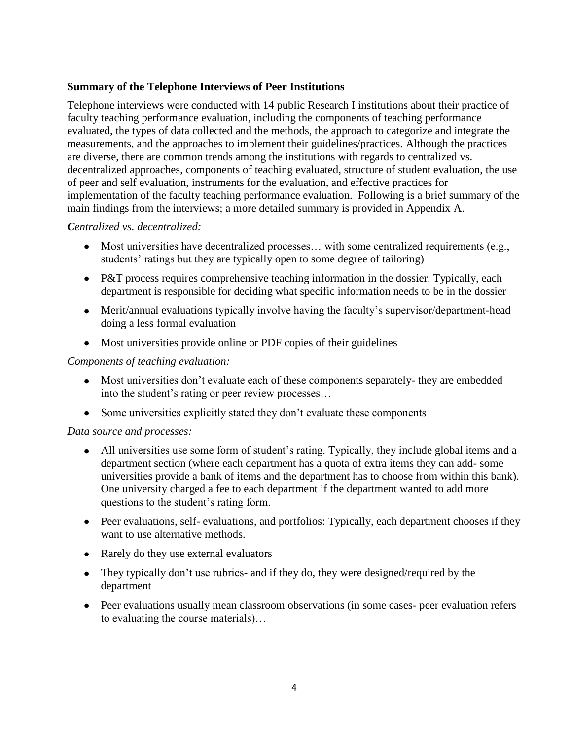# **Summary of the Telephone Interviews of Peer Institutions**

Telephone interviews were conducted with 14 public Research I institutions about their practice of faculty teaching performance evaluation, including the components of teaching performance evaluated, the types of data collected and the methods, the approach to categorize and integrate the measurements, and the approaches to implement their guidelines/practices. Although the practices are diverse, there are common trends among the institutions with regards to centralized vs. decentralized approaches, components of teaching evaluated, structure of student evaluation, the use of peer and self evaluation, instruments for the evaluation, and effective practices for implementation of the faculty teaching performance evaluation. Following is a brief summary of the main findings from the interviews; a more detailed summary is provided in Appendix A.

# *Centralized vs. decentralized:*

- Most universities have decentralized processes… with some centralized requirements (e.g., students' ratings but they are typically open to some degree of tailoring)
- P&T process requires comprehensive teaching information in the dossier. Typically, each department is responsible for deciding what specific information needs to be in the dossier
- Merit/annual evaluations typically involve having the faculty's supervisor/department-head doing a less formal evaluation
- Most universities provide online or PDF copies of their guidelines

# *Components of teaching evaluation:*

- Most universities don't evaluate each of these components separately- they are embedded into the student's rating or peer review processes…
- Some universities explicitly stated they don't evaluate these components

## *Data source and processes:*

- All universities use some form of student's rating. Typically, they include global items and a department section (where each department has a quota of extra items they can add- some universities provide a bank of items and the department has to choose from within this bank). One university charged a fee to each department if the department wanted to add more questions to the student's rating form.
- Peer evaluations, self- evaluations, and portfolios: Typically, each department chooses if they want to use alternative methods.
- Rarely do they use external evaluators
- They typically don't use rubrics- and if they do, they were designed/required by the department
- Peer evaluations usually mean classroom observations (in some cases- peer evaluation refers to evaluating the course materials)…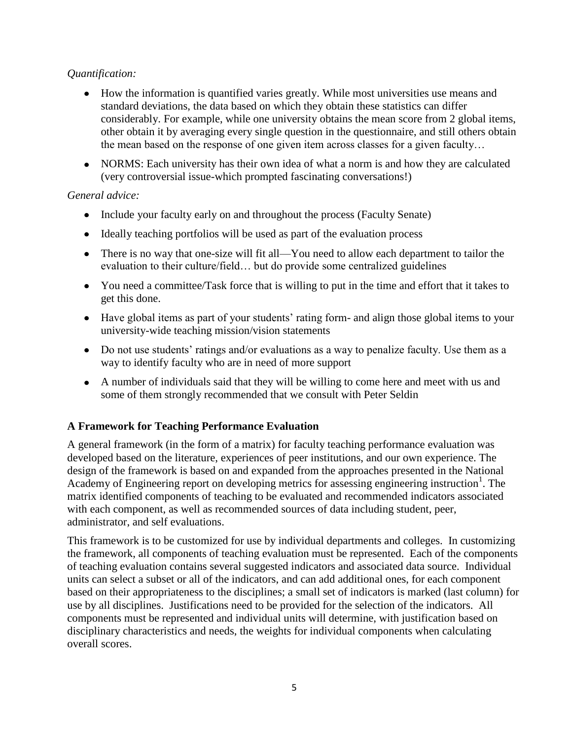# *Quantification:*

- How the information is quantified varies greatly. While most universities use means and standard deviations, the data based on which they obtain these statistics can differ considerably. For example, while one university obtains the mean score from 2 global items, other obtain it by averaging every single question in the questionnaire, and still others obtain the mean based on the response of one given item across classes for a given faculty…
- NORMS: Each university has their own idea of what a norm is and how they are calculated (very controversial issue-which prompted fascinating conversations!)

# *General advice:*

- Include your faculty early on and throughout the process (Faculty Senate)
- Ideally teaching portfolios will be used as part of the evaluation process
- There is no way that one-size will fit all—You need to allow each department to tailor the evaluation to their culture/field… but do provide some centralized guidelines
- You need a committee/Task force that is willing to put in the time and effort that it takes to get this done.
- Have global items as part of your students' rating form- and align those global items to your university-wide teaching mission/vision statements
- Do not use students' ratings and/or evaluations as a way to penalize faculty. Use them as a way to identify faculty who are in need of more support
- A number of individuals said that they will be willing to come here and meet with us and some of them strongly recommended that we consult with Peter Seldin

# **A Framework for Teaching Performance Evaluation**

A general framework (in the form of a matrix) for faculty teaching performance evaluation was developed based on the literature, experiences of peer institutions, and our own experience. The design of the framework is based on and expanded from the approaches presented in the National Academy of Engineering report on developing metrics for assessing engineering instruction<sup>1</sup>. The matrix identified components of teaching to be evaluated and recommended indicators associated with each component, as well as recommended sources of data including student, peer, administrator, and self evaluations.

This framework is to be customized for use by individual departments and colleges. In customizing the framework, all components of teaching evaluation must be represented. Each of the components of teaching evaluation contains several suggested indicators and associated data source. Individual units can select a subset or all of the indicators, and can add additional ones, for each component based on their appropriateness to the disciplines; a small set of indicators is marked (last column) for use by all disciplines. Justifications need to be provided for the selection of the indicators. All components must be represented and individual units will determine, with justification based on disciplinary characteristics and needs, the weights for individual components when calculating overall scores.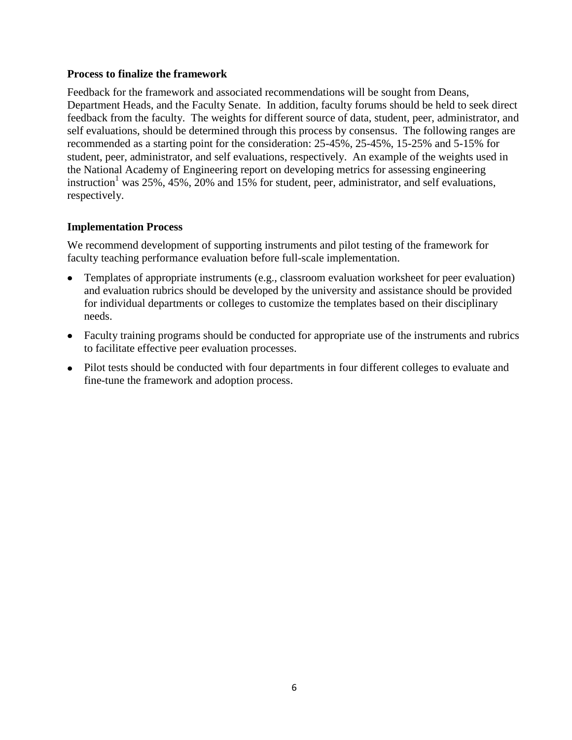# **Process to finalize the framework**

Feedback for the framework and associated recommendations will be sought from Deans, Department Heads, and the Faculty Senate. In addition, faculty forums should be held to seek direct feedback from the faculty. The weights for different source of data, student, peer, administrator, and self evaluations, should be determined through this process by consensus. The following ranges are recommended as a starting point for the consideration: 25-45%, 25-45%, 15-25% and 5-15% for student, peer, administrator, and self evaluations, respectively. An example of the weights used in the National Academy of Engineering report on developing metrics for assessing engineering instruction<sup>1</sup> was 25%, 45%, 20% and 15% for student, peer, administrator, and self evaluations, respectively.

# **Implementation Process**

We recommend development of supporting instruments and pilot testing of the framework for faculty teaching performance evaluation before full-scale implementation.

- Templates of appropriate instruments (e.g., classroom evaluation worksheet for peer evaluation) and evaluation rubrics should be developed by the university and assistance should be provided for individual departments or colleges to customize the templates based on their disciplinary needs.
- Faculty training programs should be conducted for appropriate use of the instruments and rubrics to facilitate effective peer evaluation processes.
- Pilot tests should be conducted with four departments in four different colleges to evaluate and fine-tune the framework and adoption process.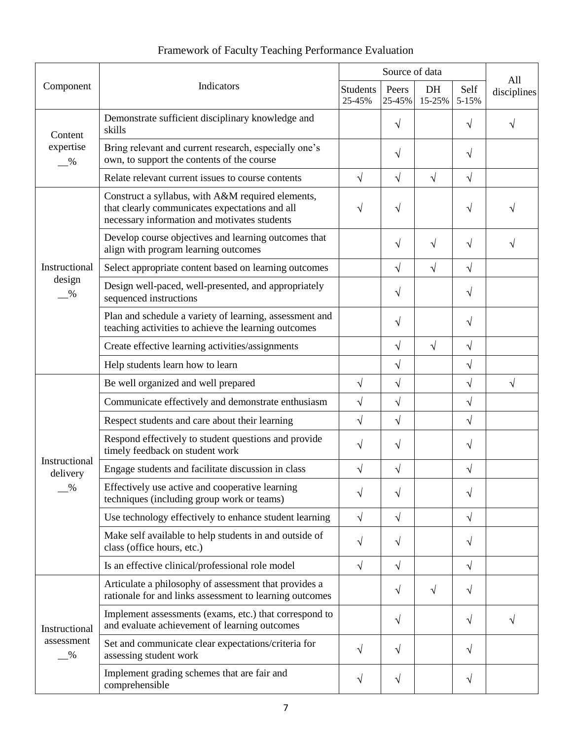| Component                                    | Indicators                                                                                                                                          | Source of data            |                 |              |               | All         |
|----------------------------------------------|-----------------------------------------------------------------------------------------------------------------------------------------------------|---------------------------|-----------------|--------------|---------------|-------------|
|                                              |                                                                                                                                                     | <b>Students</b><br>25-45% | Peers<br>25-45% | DH<br>15-25% | Self<br>5-15% | disciplines |
| Content<br>expertise<br>$-$ %                | Demonstrate sufficient disciplinary knowledge and<br>skills                                                                                         |                           | $\sqrt{}$       |              | $\sqrt{}$     | V           |
|                                              | Bring relevant and current research, especially one's<br>own, to support the contents of the course                                                 |                           | $\sqrt{}$       |              | $\sqrt{}$     |             |
|                                              | Relate relevant current issues to course contents                                                                                                   | $\sqrt{}$                 | $\sqrt{ }$      | $\sqrt{}$    | $\sqrt{}$     |             |
| Instructional<br>design<br>$\frac{0}{2}$     | Construct a syllabus, with A&M required elements,<br>that clearly communicates expectations and all<br>necessary information and motivates students | V                         | $\mathcal{N}$   |              | $\sqrt{}$     |             |
|                                              | Develop course objectives and learning outcomes that<br>align with program learning outcomes                                                        |                           | $\sqrt{}$       | $\sqrt{}$    | $\sqrt{ }$    | V           |
|                                              | Select appropriate content based on learning outcomes                                                                                               |                           | $\sqrt{ }$      | $\sqrt{}$    | $\sqrt{}$     |             |
|                                              | Design well-paced, well-presented, and appropriately<br>sequenced instructions                                                                      |                           | $\mathcal{N}$   |              | $\sqrt{}$     |             |
|                                              | Plan and schedule a variety of learning, assessment and<br>teaching activities to achieve the learning outcomes                                     |                           | $\sqrt{}$       |              | $\sqrt{ }$    |             |
|                                              | Create effective learning activities/assignments                                                                                                    |                           | $\sqrt{ }$      | $\sqrt{}$    | $\sqrt{}$     |             |
|                                              | Help students learn how to learn                                                                                                                    |                           | $\sqrt{}$       |              | $\sqrt{}$     |             |
|                                              | Be well organized and well prepared                                                                                                                 | $\sqrt{}$                 | $\sqrt{}$       |              | $\sqrt{}$     | $\sqrt{}$   |
|                                              | Communicate effectively and demonstrate enthusiasm                                                                                                  | $\sqrt{}$                 | $\sqrt{}$       |              | $\sqrt{}$     |             |
|                                              | Respect students and care about their learning                                                                                                      | $\sqrt{}$                 | $\sqrt{}$       |              | $\sqrt{ }$    |             |
|                                              | Respond effectively to student questions and provide<br>timely feedback on student work                                                             | V                         | $\sqrt{}$       |              | $\sqrt{}$     |             |
| Instructional<br>delivery                    | Engage students and facilitate discussion in class                                                                                                  | $\sqrt{}$                 | $\sqrt{ }$      |              | $\sqrt{}$     |             |
| $\frac{0}{0}$                                | Effectively use active and cooperative learning<br>techniques (including group work or teams)                                                       | V                         | $\sqrt{}$       |              | $\sqrt{}$     |             |
|                                              | Use technology effectively to enhance student learning                                                                                              | $\sqrt{}$                 | $\sqrt{ }$      |              | $\sqrt{ }$    |             |
|                                              | Make self available to help students in and outside of<br>class (office hours, etc.)                                                                | $\sqrt{}$                 | $\sqrt{ }$      |              | $\sqrt{}$     |             |
|                                              | Is an effective clinical/professional role model                                                                                                    | $\sqrt{}$                 | $\sqrt{ }$      |              | $\sqrt{ }$    |             |
| Instructional<br>assessment<br>$\frac{0}{0}$ | Articulate a philosophy of assessment that provides a<br>rationale for and links assessment to learning outcomes                                    |                           | $\sqrt{ }$      | $\sqrt{}$    | $\sqrt{ }$    |             |
|                                              | Implement assessments (exams, etc.) that correspond to<br>and evaluate achievement of learning outcomes                                             |                           | $\sqrt{}$       |              | $\sqrt{ }$    | $\sqrt{}$   |
|                                              | Set and communicate clear expectations/criteria for<br>assessing student work                                                                       | $\sqrt{}$                 | $\sqrt{ }$      |              | $\sqrt{}$     |             |
|                                              | Implement grading schemes that are fair and<br>comprehensible                                                                                       | $\sqrt{}$                 | $\sqrt{}$       |              | $\sqrt{}$     |             |

# Framework of Faculty Teaching Performance Evaluation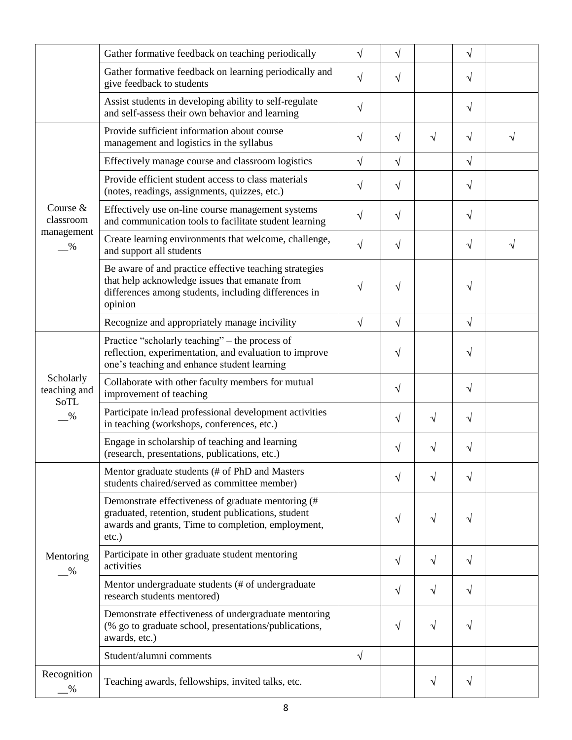|                                                    | Gather formative feedback on teaching periodically                                                                                                                          | $\sqrt{}$ | $\sqrt{ }$ |           | $\sqrt{ }$ |   |
|----------------------------------------------------|-----------------------------------------------------------------------------------------------------------------------------------------------------------------------------|-----------|------------|-----------|------------|---|
|                                                    | Gather formative feedback on learning periodically and<br>give feedback to students                                                                                         | $\sqrt{}$ | $\sqrt{}$  |           | $\sqrt{}$  |   |
|                                                    | Assist students in developing ability to self-regulate<br>and self-assess their own behavior and learning                                                                   | $\sqrt{}$ |            |           | $\sqrt{ }$ |   |
|                                                    | Provide sufficient information about course<br>management and logistics in the syllabus                                                                                     | $\sqrt{}$ | $\sqrt{ }$ | $\sqrt{}$ | $\sqrt{}$  | V |
|                                                    | Effectively manage course and classroom logistics                                                                                                                           | $\sqrt{}$ | $\sqrt{ }$ |           | $\sqrt{}$  |   |
| Course &<br>classroom<br>management<br>%           | Provide efficient student access to class materials<br>(notes, readings, assignments, quizzes, etc.)                                                                        | V         | $\sqrt{}$  |           | $\sqrt{}$  |   |
|                                                    | Effectively use on-line course management systems<br>and communication tools to facilitate student learning                                                                 | $\sqrt{}$ | $\sqrt{}$  |           | $\sqrt{}$  |   |
|                                                    | Create learning environments that welcome, challenge,<br>and support all students                                                                                           | $\sqrt{}$ | $\sqrt{}$  |           | $\sqrt{}$  | V |
|                                                    | Be aware of and practice effective teaching strategies<br>that help acknowledge issues that emanate from<br>differences among students, including differences in<br>opinion | V         | $\sqrt{ }$ |           | $\sqrt{}$  |   |
|                                                    | Recognize and appropriately manage incivility                                                                                                                               | $\sqrt{}$ | $\sqrt{ }$ |           | $\sqrt{}$  |   |
| Scholarly<br>teaching and<br>SoTL<br>$\frac{9}{6}$ | Practice "scholarly teaching" - the process of<br>reflection, experimentation, and evaluation to improve<br>one's teaching and enhance student learning                     |           | $\sqrt{}$  |           | $\sqrt{}$  |   |
|                                                    | Collaborate with other faculty members for mutual<br>improvement of teaching                                                                                                |           | $\sqrt{}$  |           | $\sqrt{}$  |   |
|                                                    | Participate in/lead professional development activities<br>in teaching (workshops, conferences, etc.)                                                                       |           | $\sqrt{}$  | $\sqrt{}$ | $\sqrt{}$  |   |
|                                                    | Engage in scholarship of teaching and learning<br>(research, presentations, publications, etc.)                                                                             |           | $\sqrt{ }$ | V         | V          |   |
| Mentoring<br>$\frac{0}{2}$                         | Mentor graduate students (# of PhD and Masters<br>students chaired/served as committee member)                                                                              |           | V          |           | V          |   |
|                                                    | Demonstrate effectiveness of graduate mentoring (#<br>graduated, retention, student publications, student<br>awards and grants, Time to completion, employment,<br>etc.)    |           | $\sqrt{ }$ | V         | V          |   |
|                                                    | Participate in other graduate student mentoring<br>activities                                                                                                               |           | $\sqrt{}$  | V         | $\sqrt{}$  |   |
|                                                    | Mentor undergraduate students (# of undergraduate<br>research students mentored)                                                                                            |           | $\sqrt{ }$ | V         | $\sqrt{}$  |   |
|                                                    | Demonstrate effectiveness of undergraduate mentoring<br>(% go to graduate school, presentations/publications,<br>awards, etc.)                                              |           | $\sqrt{}$  | $\sqrt{}$ | $\sqrt{}$  |   |
|                                                    | Student/alumni comments                                                                                                                                                     | $\sqrt{}$ |            |           |            |   |
| Recognition<br>$\%$                                | Teaching awards, fellowships, invited talks, etc.                                                                                                                           |           |            | V         | V          |   |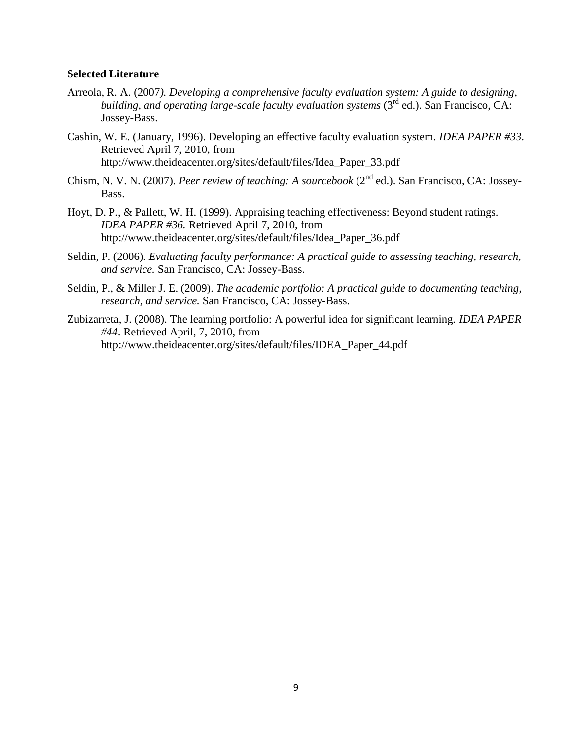#### **Selected Literature**

- Arreola, R. A. (2007*). Developing a comprehensive faculty evaluation system: A guide to designing, building, and operating large-scale faculty evaluation systems* (3rd ed.). San Francisco, CA: Jossey-Bass.
- Cashin, W. E. (January, 1996). Developing an effective faculty evaluation system. *IDEA PAPER #33*. Retrieved April 7, 2010, from http://www.theideacenter.org/sites/default/files/Idea\_Paper\_33.pdf
- Chism, N. V. N. (2007). *Peer review of teaching: A sourcebook* (2nd ed.). San Francisco, CA: Jossey-Bass.
- Hoyt, D. P., & Pallett, W. H. (1999). Appraising teaching effectiveness: Beyond student ratings. *IDEA PAPER #36.* Retrieved April 7, 2010, from http://www.theideacenter.org/sites/default/files/Idea\_Paper\_36.pdf
- Seldin, P. (2006). *Evaluating faculty performance: A practical guide to assessing teaching, research, and service.* San Francisco, CA: Jossey-Bass.
- Seldin, P., & Miller J. E. (2009). *The academic portfolio: A practical guide to documenting teaching, research, and service.* San Francisco, CA: Jossey-Bass.
- Zubizarreta, J. (2008). The learning portfolio: A powerful idea for significant learning. *IDEA PAPER #44*. Retrieved April, 7, 2010, from http://www.theideacenter.org/sites/default/files/IDEA\_Paper\_44.pdf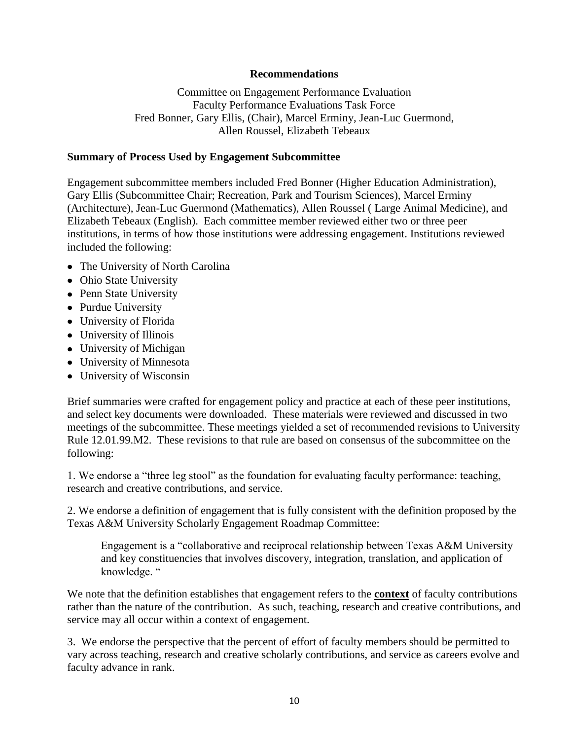## **Recommendations**

Committee on Engagement Performance Evaluation Faculty Performance Evaluations Task Force Fred Bonner, Gary Ellis, (Chair), Marcel Erminy, Jean-Luc Guermond, Allen Roussel, Elizabeth Tebeaux

### **Summary of Process Used by Engagement Subcommittee**

Engagement subcommittee members included Fred Bonner (Higher Education Administration), Gary Ellis (Subcommittee Chair; Recreation, Park and Tourism Sciences), Marcel Erminy (Architecture), Jean-Luc Guermond (Mathematics), Allen Roussel ( Large Animal Medicine), and Elizabeth Tebeaux (English). Each committee member reviewed either two or three peer institutions, in terms of how those institutions were addressing engagement. Institutions reviewed included the following:

- The University of North Carolina
- Ohio State University
- Penn State University
- Purdue University
- University of Florida
- University of Illinois
- University of Michigan
- University of Minnesota
- University of Wisconsin

Brief summaries were crafted for engagement policy and practice at each of these peer institutions, and select key documents were downloaded. These materials were reviewed and discussed in two meetings of the subcommittee. These meetings yielded a set of recommended revisions to University Rule 12.01.99.M2. These revisions to that rule are based on consensus of the subcommittee on the following:

1. We endorse a "three leg stool" as the foundation for evaluating faculty performance: teaching, research and creative contributions, and service.

2. We endorse a definition of engagement that is fully consistent with the definition proposed by the Texas A&M University Scholarly Engagement Roadmap Committee:

Engagement is a "collaborative and reciprocal relationship between Texas A&M University and key constituencies that involves discovery, integration, translation, and application of knowledge. "

We note that the definition establishes that engagement refers to the **context** of faculty contributions rather than the nature of the contribution. As such, teaching, research and creative contributions, and service may all occur within a context of engagement.

3. We endorse the perspective that the percent of effort of faculty members should be permitted to vary across teaching, research and creative scholarly contributions, and service as careers evolve and faculty advance in rank.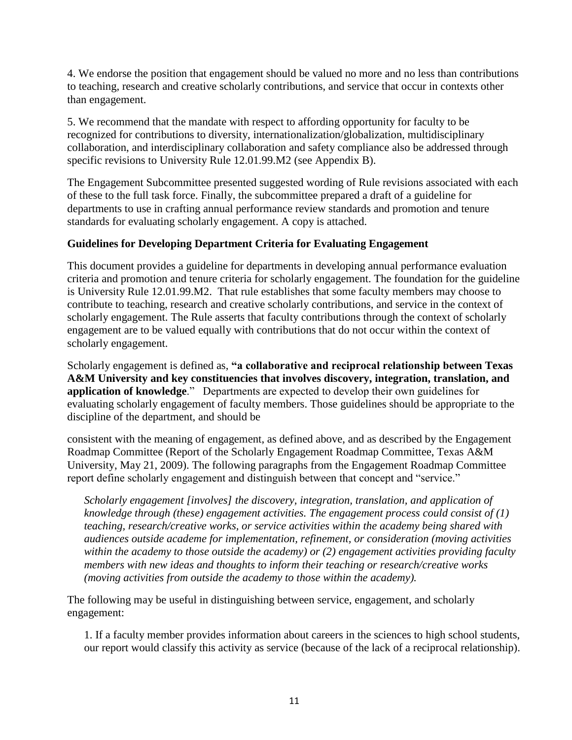4. We endorse the position that engagement should be valued no more and no less than contributions to teaching, research and creative scholarly contributions, and service that occur in contexts other than engagement.

5. We recommend that the mandate with respect to affording opportunity for faculty to be recognized for contributions to diversity, internationalization/globalization, multidisciplinary collaboration, and interdisciplinary collaboration and safety compliance also be addressed through specific revisions to University Rule 12.01.99.M2 (see Appendix B).

The Engagement Subcommittee presented suggested wording of Rule revisions associated with each of these to the full task force. Finally, the subcommittee prepared a draft of a guideline for departments to use in crafting annual performance review standards and promotion and tenure standards for evaluating scholarly engagement. A copy is attached.

# **Guidelines for Developing Department Criteria for Evaluating Engagement**

This document provides a guideline for departments in developing annual performance evaluation criteria and promotion and tenure criteria for scholarly engagement. The foundation for the guideline is University Rule 12.01.99.M2. That rule establishes that some faculty members may choose to contribute to teaching, research and creative scholarly contributions, and service in the context of scholarly engagement. The Rule asserts that faculty contributions through the context of scholarly engagement are to be valued equally with contributions that do not occur within the context of scholarly engagement.

Scholarly engagement is defined as, **"a collaborative and reciprocal relationship between Texas A&M University and key constituencies that involves discovery, integration, translation, and application of knowledge.**" Departments are expected to develop their own guidelines for evaluating scholarly engagement of faculty members. Those guidelines should be appropriate to the discipline of the department, and should be

consistent with the meaning of engagement, as defined above, and as described by the Engagement Roadmap Committee (Report of the Scholarly Engagement Roadmap Committee, Texas A&M University, May 21, 2009). The following paragraphs from the Engagement Roadmap Committee report define scholarly engagement and distinguish between that concept and "service."

*Scholarly engagement [involves] the discovery, integration, translation, and application of knowledge through (these) engagement activities. The engagement process could consist of (1) teaching, research/creative works, or service activities within the academy being shared with audiences outside academe for implementation, refinement, or consideration (moving activities within the academy to those outside the academy) or (2) engagement activities providing faculty members with new ideas and thoughts to inform their teaching or research/creative works (moving activities from outside the academy to those within the academy).* 

The following may be useful in distinguishing between service, engagement, and scholarly engagement:

1. If a faculty member provides information about careers in the sciences to high school students, our report would classify this activity as service (because of the lack of a reciprocal relationship).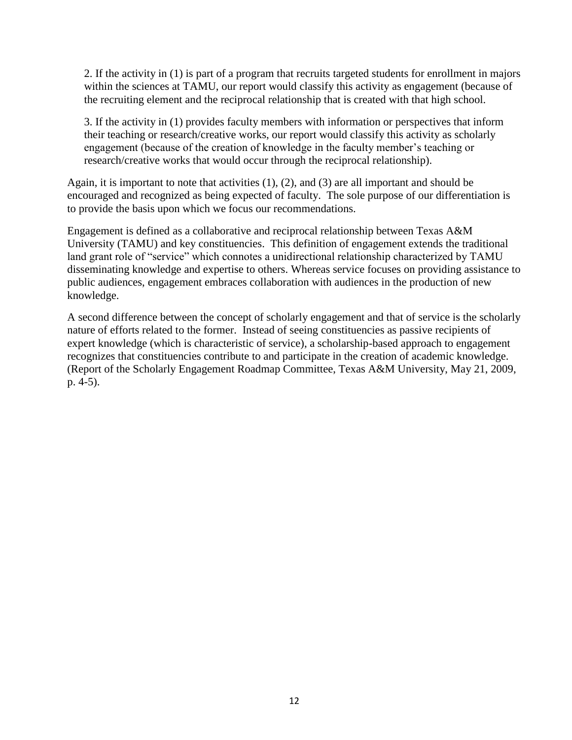2. If the activity in (1) is part of a program that recruits targeted students for enrollment in majors within the sciences at TAMU, our report would classify this activity as engagement (because of the recruiting element and the reciprocal relationship that is created with that high school.

3. If the activity in (1) provides faculty members with information or perspectives that inform their teaching or research/creative works, our report would classify this activity as scholarly engagement (because of the creation of knowledge in the faculty member's teaching or research/creative works that would occur through the reciprocal relationship).

Again, it is important to note that activities (1), (2), and (3) are all important and should be encouraged and recognized as being expected of faculty. The sole purpose of our differentiation is to provide the basis upon which we focus our recommendations.

Engagement is defined as a collaborative and reciprocal relationship between Texas A&M University (TAMU) and key constituencies. This definition of engagement extends the traditional land grant role of "service" which connotes a unidirectional relationship characterized by TAMU disseminating knowledge and expertise to others. Whereas service focuses on providing assistance to public audiences, engagement embraces collaboration with audiences in the production of new knowledge.

A second difference between the concept of scholarly engagement and that of service is the scholarly nature of efforts related to the former. Instead of seeing constituencies as passive recipients of expert knowledge (which is characteristic of service), a scholarship-based approach to engagement recognizes that constituencies contribute to and participate in the creation of academic knowledge. (Report of the Scholarly Engagement Roadmap Committee, Texas A&M University, May 21, 2009, p. 4-5).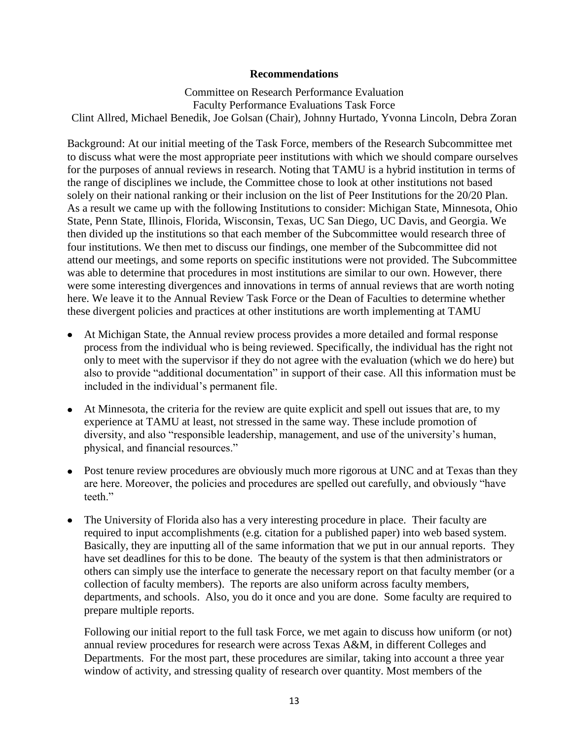### **Recommendations**

Committee on Research Performance Evaluation Faculty Performance Evaluations Task Force Clint Allred, Michael Benedik, Joe Golsan (Chair), Johnny Hurtado, Yvonna Lincoln, Debra Zoran

Background: At our initial meeting of the Task Force, members of the Research Subcommittee met to discuss what were the most appropriate peer institutions with which we should compare ourselves for the purposes of annual reviews in research. Noting that TAMU is a hybrid institution in terms of the range of disciplines we include, the Committee chose to look at other institutions not based solely on their national ranking or their inclusion on the list of Peer Institutions for the 20/20 Plan. As a result we came up with the following Institutions to consider: Michigan State, Minnesota, Ohio State, Penn State, Illinois, Florida, Wisconsin, Texas, UC San Diego, UC Davis, and Georgia. We then divided up the institutions so that each member of the Subcommittee would research three of four institutions. We then met to discuss our findings, one member of the Subcommittee did not attend our meetings, and some reports on specific institutions were not provided. The Subcommittee was able to determine that procedures in most institutions are similar to our own. However, there were some interesting divergences and innovations in terms of annual reviews that are worth noting here. We leave it to the Annual Review Task Force or the Dean of Faculties to determine whether these divergent policies and practices at other institutions are worth implementing at TAMU

- At Michigan State, the Annual review process provides a more detailed and formal response process from the individual who is being reviewed. Specifically, the individual has the right not only to meet with the supervisor if they do not agree with the evaluation (which we do here) but also to provide "additional documentation" in support of their case. All this information must be included in the individual's permanent file.
- At Minnesota, the criteria for the review are quite explicit and spell out issues that are, to my experience at TAMU at least, not stressed in the same way. These include promotion of diversity, and also "responsible leadership, management, and use of the university's human, physical, and financial resources."
- Post tenure review procedures are obviously much more rigorous at UNC and at Texas than they  $\bullet$ are here. Moreover, the policies and procedures are spelled out carefully, and obviously "have teeth<sup>"</sup>
- The University of Florida also has a very interesting procedure in place. Their faculty are required to input accomplishments (e.g. citation for a published paper) into web based system. Basically, they are inputting all of the same information that we put in our annual reports. They have set deadlines for this to be done. The beauty of the system is that then administrators or others can simply use the interface to generate the necessary report on that faculty member (or a collection of faculty members). The reports are also uniform across faculty members, departments, and schools. Also, you do it once and you are done. Some faculty are required to prepare multiple reports.

Following our initial report to the full task Force, we met again to discuss how uniform (or not) annual review procedures for research were across Texas A&M, in different Colleges and Departments. For the most part, these procedures are similar, taking into account a three year window of activity, and stressing quality of research over quantity. Most members of the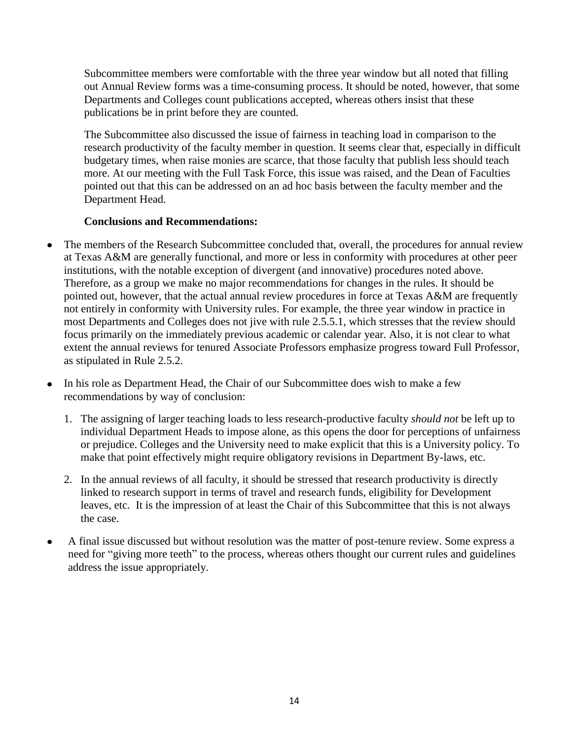Subcommittee members were comfortable with the three year window but all noted that filling out Annual Review forms was a time-consuming process. It should be noted, however, that some Departments and Colleges count publications accepted, whereas others insist that these publications be in print before they are counted.

The Subcommittee also discussed the issue of fairness in teaching load in comparison to the research productivity of the faculty member in question. It seems clear that, especially in difficult budgetary times, when raise monies are scarce, that those faculty that publish less should teach more. At our meeting with the Full Task Force, this issue was raised, and the Dean of Faculties pointed out that this can be addressed on an ad hoc basis between the faculty member and the Department Head.

# **Conclusions and Recommendations:**

- The members of the Research Subcommittee concluded that, overall, the procedures for annual review at Texas A&M are generally functional, and more or less in conformity with procedures at other peer institutions, with the notable exception of divergent (and innovative) procedures noted above. Therefore, as a group we make no major recommendations for changes in the rules. It should be pointed out, however, that the actual annual review procedures in force at Texas A&M are frequently not entirely in conformity with University rules. For example, the three year window in practice in most Departments and Colleges does not jive with rule 2.5.5.1, which stresses that the review should focus primarily on the immediately previous academic or calendar year. Also, it is not clear to what extent the annual reviews for tenured Associate Professors emphasize progress toward Full Professor, as stipulated in Rule 2.5.2.
- In his role as Department Head, the Chair of our Subcommittee does wish to make a few  $\bullet$ recommendations by way of conclusion:
	- 1. The assigning of larger teaching loads to less research-productive faculty *should not* be left up to individual Department Heads to impose alone, as this opens the door for perceptions of unfairness or prejudice. Colleges and the University need to make explicit that this is a University policy. To make that point effectively might require obligatory revisions in Department By-laws, etc.
	- 2. In the annual reviews of all faculty, it should be stressed that research productivity is directly linked to research support in terms of travel and research funds, eligibility for Development leaves, etc. It is the impression of at least the Chair of this Subcommittee that this is not always the case.
- A final issue discussed but without resolution was the matter of post-tenure review. Some express a need for "giving more teeth" to the process, whereas others thought our current rules and guidelines address the issue appropriately.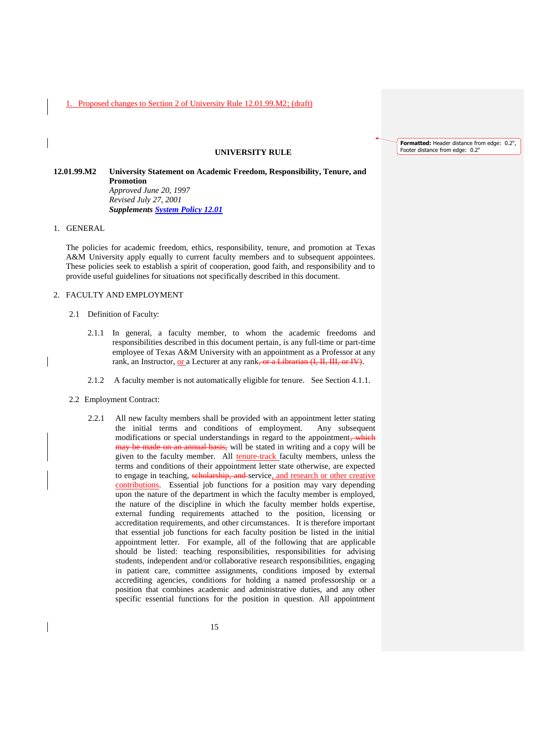#### **UNIVERSITY RULE**

**12.01.99.M2 University Statement on Academic Freedom, Responsibility, Tenure, and Promotion**  *Approved June 20, 1997 Revised July 27, 2001 Supplements [System Policy 12.01](http://sago.tamu.edu/policy/12-01.pdf)*

1. GENERAL

The policies for academic freedom, ethics, responsibility, tenure, and promotion at Texas A&M University apply equally to current faculty members and to subsequent appointees. These policies seek to establish a spirit of cooperation, good faith, and responsibility and to provide useful guidelines for situations not specifically described in this document.

#### 2. FACULTY AND EMPLOYMENT

- 2.1 Definition of Faculty:
	- 2.1.1 In general, a faculty member, to whom the academic freedoms and responsibilities described in this document pertain, is any full-time or part-time employee of Texas A&M University with an appointment as a Professor at any rank, an Instructor, or a Lecturer at any rank, or a Librarian (I, II, III, or IV).
	- 2.1.2 A faculty member is not automatically eligible for tenure. See Section 4.1.1.
- 2.2 Employment Contract:
	- 2.2.1 All new faculty members shall be provided with an appointment letter stating the initial terms and conditions of employment. Any subsequent modifications or special understandings in regard to the appointment, which may be made on an annual basis, will be stated in writing and a copy will be given to the faculty member. All tenure-track faculty members, unless the terms and conditions of their appointment letter state otherwise, are expected to engage in teaching, scholarship, and service, and research or other creative contributions. Essential job functions for a position may vary depending upon the nature of the department in which the faculty member is employed, the nature of the discipline in which the faculty member holds expertise, external funding requirements attached to the position, licensing or accreditation requirements, and other circumstances. It is therefore important that essential job functions for each faculty position be listed in the initial appointment letter. For example, all of the following that are applicable should be listed: teaching responsibilities, responsibilities for advising students, independent and/or collaborative research responsibilities, engaging in patient care, committee assignments, conditions imposed by external accrediting agencies, conditions for holding a named professorship or a position that combines academic and administrative duties, and any other specific essential functions for the position in question. All appointment

**Formatted:** Header distance from edge: 0.2", Footer distance from edge: 0.2"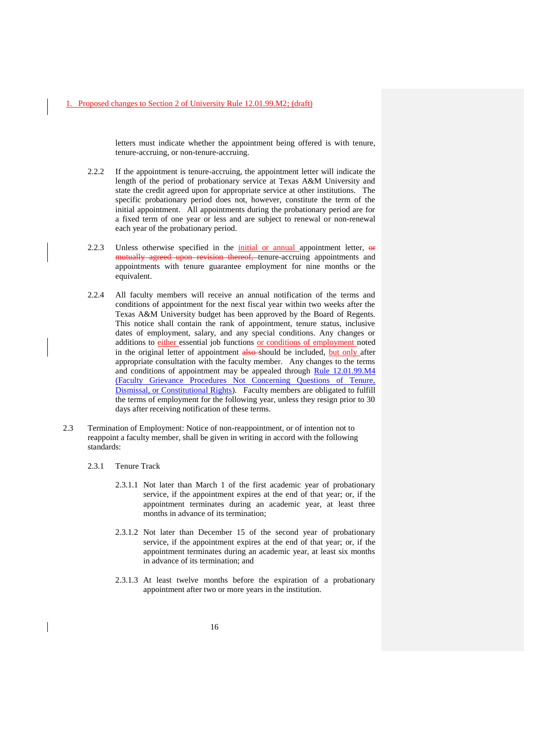letters must indicate whether the appointment being offered is with tenure, tenure-accruing, or non-tenure-accruing.

- 2.2.2 If the appointment is tenure-accruing, the appointment letter will indicate the length of the period of probationary service at Texas A&M University and state the credit agreed upon for appropriate service at other institutions. The specific probationary period does not, however, constitute the term of the initial appointment. All appointments during the probationary period are for a fixed term of one year or less and are subject to renewal or non-renewal each year of the probationary period.
- 2.2.3 Unless otherwise specified in the *initial or annual appointment letter*,  $\theta$ mutually agreed upon revision thereof, tenure-accruing appointments and appointments with tenure guarantee employment for nine months or the equivalent.
- 2.2.4 All faculty members will receive an annual notification of the terms and conditions of appointment for the next fiscal year within two weeks after the Texas A&M University budget has been approved by the Board of Regents. This notice shall contain the rank of appointment, tenure status, inclusive dates of employment, salary, and any special conditions. Any changes or additions to either essential job functions or conditions of employment noted in the original letter of appointment also-should be included, but only after appropriate consultation with the faculty member. Any changes to the terms and conditions of appointment may be appealed through Rule 12.01.99.M4 [\(Faculty Grievance Procedures Not Concerning Questions of Tenure,](http://rules-saps.tamu.edu/PDFs/12.01.99.M4.pdf)  [Dismissal, or Constitutional Rights\)](http://rules-saps.tamu.edu/PDFs/12.01.99.M4.pdf). Faculty members are obligated to fulfill the terms of employment for the following year, unless they resign prior to 30 days after receiving notification of these terms.
- 2.3 Termination of Employment: Notice of non-reappointment, or of intention not to reappoint a faculty member, shall be given in writing in accord with the following standards:
	- 2.3.1 Tenure Track
		- 2.3.1.1 Not later than March 1 of the first academic year of probationary service, if the appointment expires at the end of that year; or, if the appointment terminates during an academic year, at least three months in advance of its termination;
		- 2.3.1.2 Not later than December 15 of the second year of probationary service, if the appointment expires at the end of that year; or, if the appointment terminates during an academic year, at least six months in advance of its termination; and
		- 2.3.1.3 At least twelve months before the expiration of a probationary appointment after two or more years in the institution.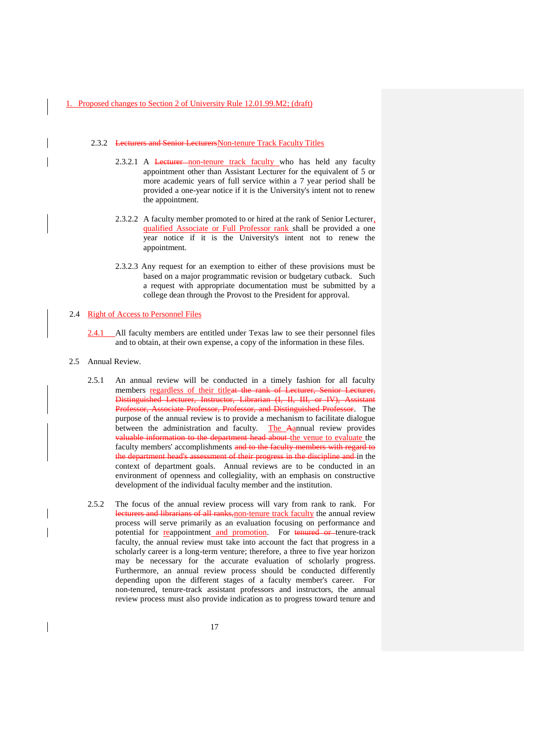#### 2.3.2 Lecturers and Senior LecturersNon-tenure Track Faculty Titles

- 2.3.2.1 A Lecturer non-tenure track faculty who has held any faculty appointment other than Assistant Lecturer for the equivalent of 5 or more academic years of full service within a 7 year period shall be provided a one-year notice if it is the University's intent not to renew the appointment.
- 2.3.2.2 A faculty member promoted to or hired at the rank of Senior Lecturer, qualified Associate or Full Professor rank shall be provided a one year notice if it is the University's intent not to renew the appointment.
- 2.3.2.3 Any request for an exemption to either of these provisions must be based on a major programmatic revision or budgetary cutback. Such a request with appropriate documentation must be submitted by a college dean through the Provost to the President for approval.

#### 2.4 Right of Access to Personnel Files

- 2.4.1 All faculty members are entitled under Texas law to see their personnel files and to obtain, at their own expense, a copy of the information in these files.
- 2.5 Annual Review.
	- 2.5.1 An annual review will be conducted in a timely fashion for all faculty members regardless of their titleat the rank of Lecturer, Senior Lecturer, Distinguished Lecturer, Instructor, Librarian (I, II, III, or IV), Assistant Professor, Associate Professor, Professor, and Distinguished Professor. The purpose of the annual review is to provide a mechanism to facilitate dialogue between the administration and faculty. The Aannual review provides valuable information to the department head about the venue to evaluate the faculty members' accomplishments and to the faculty members with regard to the department head's assessment of their progress in the discipline and in the context of department goals. Annual reviews are to be conducted in an environment of openness and collegiality, with an emphasis on constructive development of the individual faculty member and the institution.
	- 2.5.2 The focus of the annual review process will vary from rank to rank. For lecturers and librarians of all ranks, non-tenure track faculty the annual review process will serve primarily as an evaluation focusing on performance and potential for reappointment and promotion. For tenured or tenure-track faculty, the annual review must take into account the fact that progress in a scholarly career is a long-term venture; therefore, a three to five year horizon may be necessary for the accurate evaluation of scholarly progress. Furthermore, an annual review process should be conducted differently depending upon the different stages of a faculty member's career. For non-tenured, tenure-track assistant professors and instructors, the annual review process must also provide indication as to progress toward tenure and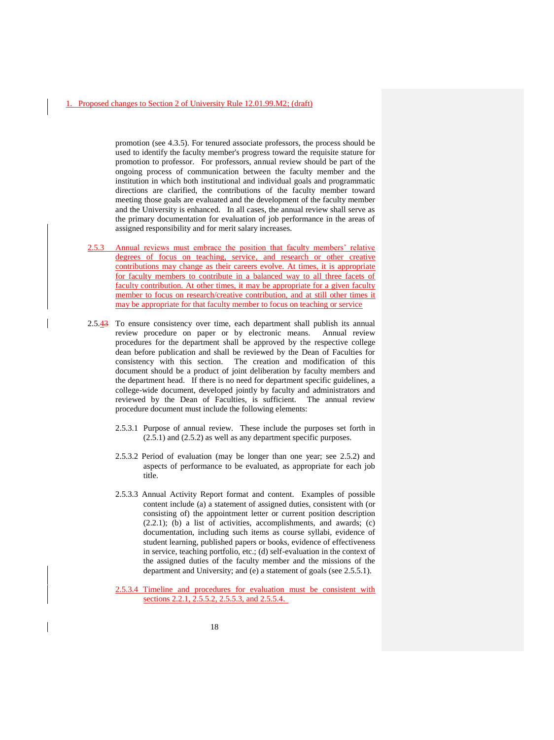promotion (see 4.3.5). For tenured associate professors, the process should be used to identify the faculty member's progress toward the requisite stature for promotion to professor. For professors, annual review should be part of the ongoing process of communication between the faculty member and the institution in which both institutional and individual goals and programmatic directions are clarified, the contributions of the faculty member toward meeting those goals are evaluated and the development of the faculty member and the University is enhanced. In all cases, the annual review shall serve as the primary documentation for evaluation of job performance in the areas of assigned responsibility and for merit salary increases.

- 2.5.3 Annual reviews must embrace the position that faculty members' relative degrees of focus on teaching, service, and research or other creative contributions may change as their careers evolve. At times, it is appropriate for faculty members to contribute in a balanced way to all three facets of faculty contribution. At other times, it may be appropriate for a given faculty member to focus on research/creative contribution, and at still other times it may be appropriate for that faculty member to focus on teaching or service
- 2.5.43 To ensure consistency over time, each department shall publish its annual review procedure on paper or by electronic means. Annual review procedures for the department shall be approved by the respective college dean before publication and shall be reviewed by the Dean of Faculties for consistency with this section. The creation and modification of this document should be a product of joint deliberation by faculty members and the department head. If there is no need for department specific guidelines, a college-wide document, developed jointly by faculty and administrators and reviewed by the Dean of Faculties, is sufficient. The annual review procedure document must include the following elements:
	- 2.5.3.1 Purpose of annual review. These include the purposes set forth in (2.5.1) and (2.5.2) as well as any department specific purposes.
	- 2.5.3.2 Period of evaluation (may be longer than one year; see 2.5.2) and aspects of performance to be evaluated, as appropriate for each job title.
	- 2.5.3.3 Annual Activity Report format and content. Examples of possible content include (a) a statement of assigned duties, consistent with (or consisting of) the appointment letter or current position description  $(2.2.1)$ ; (b) a list of activities, accomplishments, and awards; (c) documentation, including such items as course syllabi, evidence of student learning, published papers or books, evidence of effectiveness in service, teaching portfolio, etc.; (d) self-evaluation in the context of the assigned duties of the faculty member and the missions of the department and University; and (e) a statement of goals (see 2.5.5.1).
	- 2.5.3.4 Timeline and procedures for evaluation must be consistent with sections 2.2.1, 2.5.5.2, 2.5.5.3, and 2.5.5.4.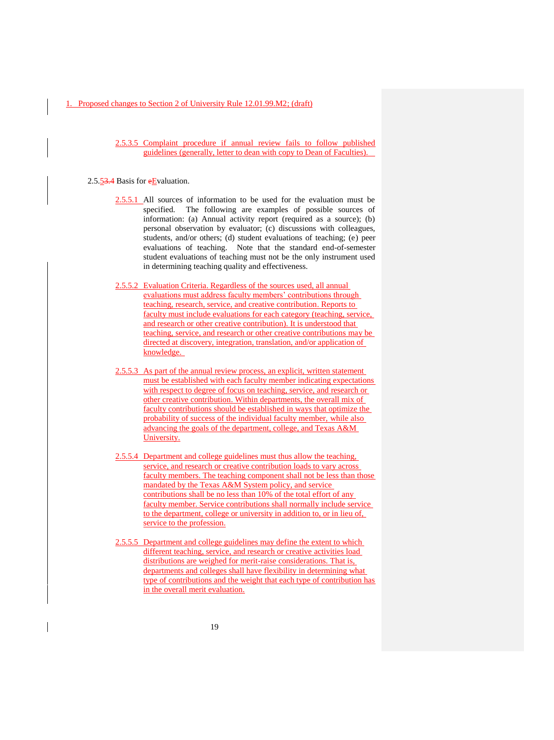2.5.3.5 Complaint procedure if annual review fails to follow published guidelines (generally, letter to dean with copy to Dean of Faculties).

#### 2.5.53.4 Basis for eEvaluation.

- 2.5.5.1 All sources of information to be used for the evaluation must be specified. The following are examples of possible sources of information: (a) Annual activity report (required as a source); (b) personal observation by evaluator; (c) discussions with colleagues, students, and/or others; (d) student evaluations of teaching; (e) peer evaluations of teaching. Note that the standard end-of-semester student evaluations of teaching must not be the only instrument used in determining teaching quality and effectiveness.
- 2.5.5.2 Evaluation Criteria. Regardless of the sources used, all annual evaluations must address faculty members' contributions through teaching, research, service, and creative contribution. Reports to faculty must include evaluations for each category (teaching, service, and research or other creative contribution). It is understood that teaching, service, and research or other creative contributions may be directed at discovery, integration, translation, and/or application of knowledge.
- 2.5.5.3 As part of the annual review process, an explicit, written statement must be established with each faculty member indicating expectations with respect to degree of focus on teaching, service, and research or other creative contribution. Within departments, the overall mix of faculty contributions should be established in ways that optimize the probability of success of the individual faculty member, while also advancing the goals of the department, college, and Texas A&M University.
- 2.5.5.4 Department and college guidelines must thus allow the teaching, service, and research or creative contribution loads to vary across faculty members. The teaching component shall not be less than those mandated by the Texas A&M System policy, and service contributions shall be no less than 10% of the total effort of any faculty member. Service contributions shall normally include service to the department, college or university in addition to, or in lieu of, service to the profession.
- 2.5.5.5 Department and college guidelines may define the extent to which different teaching, service, and research or creative activities load distributions are weighed for merit-raise considerations. That is, departments and colleges shall have flexibility in determining what type of contributions and the weight that each type of contribution has in the overall merit evaluation.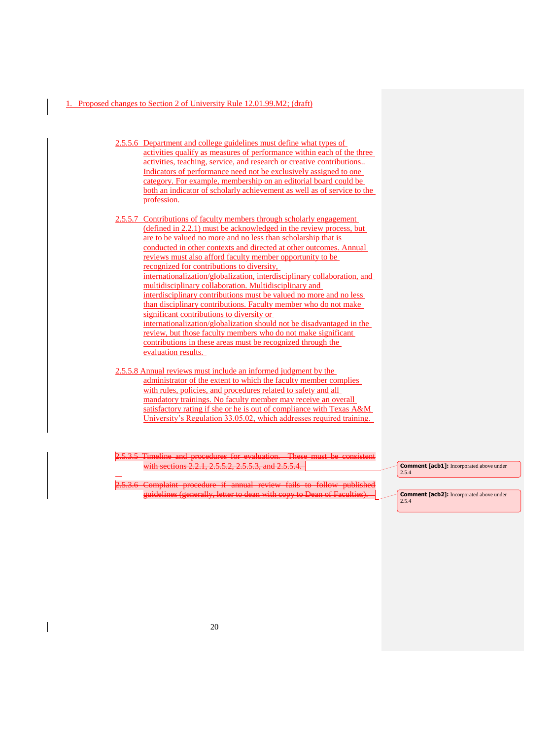- 2.5.5.6 Department and college guidelines must define what types of activities qualify as measures of performance within each of the three activities, teaching, service, and research or creative contributions.. Indicators of performance need not be exclusively assigned to one category. For example, membership on an editorial board could be both an indicator of scholarly achievement as well as of service to the profession.
- 2.5.5.7 Contributions of faculty members through scholarly engagement (defined in 2.2.1) must be acknowledged in the review process, but are to be valued no more and no less than scholarship that is conducted in other contexts and directed at other outcomes. Annual reviews must also afford faculty member opportunity to be recognized for contributions to diversity, internationalization/globalization, interdisciplinary collaboration, and multidisciplinary collaboration. Multidisciplinary and interdisciplinary contributions must be valued no more and no less than disciplinary contributions. Faculty member who do not make significant contributions to diversity or internationalization/globalization should not be disadvantaged in the review, but those faculty members who do not make significant contributions in these areas must be recognized through the evaluation results.
- 2.5.5.8 Annual reviews must include an informed judgment by the administrator of the extent to which the faculty member complies with rules, policies, and procedures related to safety and all mandatory trainings. No faculty member may receive an overall satisfactory rating if she or he is out of compliance with Texas A&M University's Regulation 33.05.02, which addresses required training.

5.3.5 Timeline and procedure with sections 2.2.1, 2.5.5.2, 2.5.5.3, and 2.5.5.4.

20 Complaint procedure if annual review fails to follow published guidelines (generally, letter to dean with copy to Dean of Faculties).

**Comment [acb1]:** Incorporated above under 2.5.4

**Comment [acb2]:** Incorporated above under 2.5.4

 $\overline{a}$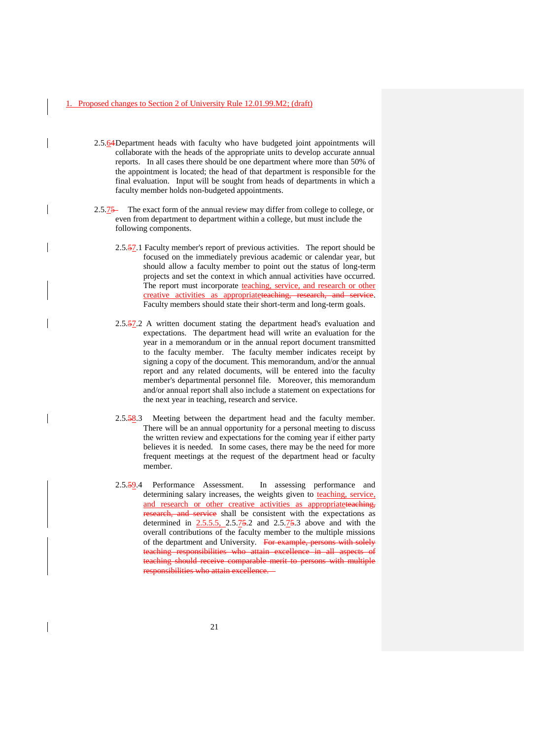- 2.5.64Department heads with faculty who have budgeted joint appointments will collaborate with the heads of the appropriate units to develop accurate annual reports. In all cases there should be one department where more than 50% of the appointment is located; the head of that department is responsible for the final evaluation. Input will be sought from heads of departments in which a faculty member holds non-budgeted appointments.
- 2.5.75 The exact form of the annual review may differ from college to college, or even from department to department within a college, but must include the following components.
	- 2.5.57.1 Faculty member's report of previous activities. The report should be focused on the immediately previous academic or calendar year, but should allow a faculty member to point out the status of long-term projects and set the context in which annual activities have occurred. The report must incorporate teaching, service, and research or other creative activities as appropriateteaching, research, and service. Faculty members should state their short-term and long-term goals.
	- 2.5.57.2 A written document stating the department head's evaluation and expectations. The department head will write an evaluation for the year in a memorandum or in the annual report document transmitted to the faculty member. The faculty member indicates receipt by signing a copy of the document. This memorandum, and/or the annual report and any related documents, will be entered into the faculty member's departmental personnel file. Moreover, this memorandum and/or annual report shall also include a statement on expectations for the next year in teaching, research and service.
	- 2.5.58.3 Meeting between the department head and the faculty member. There will be an annual opportunity for a personal meeting to discuss the written review and expectations for the coming year if either party believes it is needed. In some cases, there may be the need for more frequent meetings at the request of the department head or faculty member.
	- 2.5.59.4 Performance Assessment. In assessing performance and determining salary increases, the weights given to teaching, service, and research or other creative activities as appropriateteaching, earch, and service shall be consistent with the expectations as determined in  $2.5.5.5$ ,  $2.5.75.2$  and  $2.5.75.3$  above and with the overall contributions of the faculty member to the multiple missions of the department and University. For example, persons with solely teaching responsibilities who attain excellence in all aspects of teaching should receive comparable merit to persons with multiple responsibilities who attain excellence.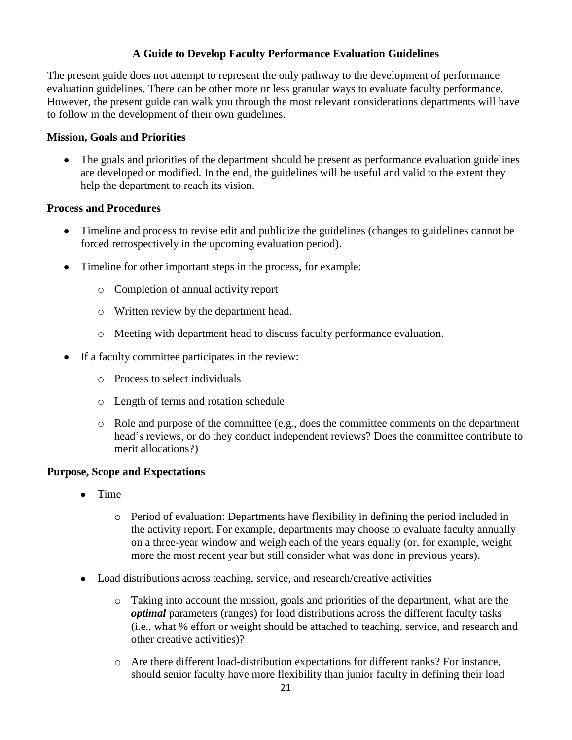# **A Guide to Develop Faculty Performance Evaluation Guidelines**

The present guide does not attempt to represent the only pathway to the development of performance evaluation guidelines. There can be other more or less granular ways to evaluate faculty performance. However, the present guide can walk you through the most relevant considerations departments will have to follow in the development of their own guidelines.

# **Mission, Goals and Priorities**

• The goals and priorities of the department should be present as performance evaluation guidelines are developed or modified. In the end, the guidelines will be useful and valid to the extent they help the department to reach its vision.

## **Process and Procedures**

- Timeline and process to revise edit and publicize the guidelines (changes to guidelines cannot be forced retrospectively in the upcoming evaluation period).
- Timeline for other important steps in the process, for example:
	- o Completion of annual activity report
	- o Written review by the department head.
	- o Meeting with department head to discuss faculty performance evaluation.
- If a faculty committee participates in the review:
	- o Process to select individuals
	- o Length of terms and rotation schedule
	- $\circ$  Role and purpose of the committee (e.g., does the committee comments on the department head's reviews, or do they conduct independent reviews? Does the committee contribute to merit allocations?)

## **Purpose, Scope and Expectations**

- $\bullet$ Time
	- o Period of evaluation: Departments have flexibility in defining the period included in the activity report. For example, departments may choose to evaluate faculty annually on a three-year window and weigh each of the years equally (or, for example, weight more the most recent year but still consider what was done in previous years).
- Load distributions across teaching, service, and research/creative activities
	- o Taking into account the mission, goals and priorities of the department, what are the *optimal* parameters (ranges) for load distributions across the different faculty tasks (i.e., what % effort or weight should be attached to teaching, service, and research and other creative activities)?
	- o Are there different load-distribution expectations for different ranks? For instance, should senior faculty have more flexibility than junior faculty in defining their load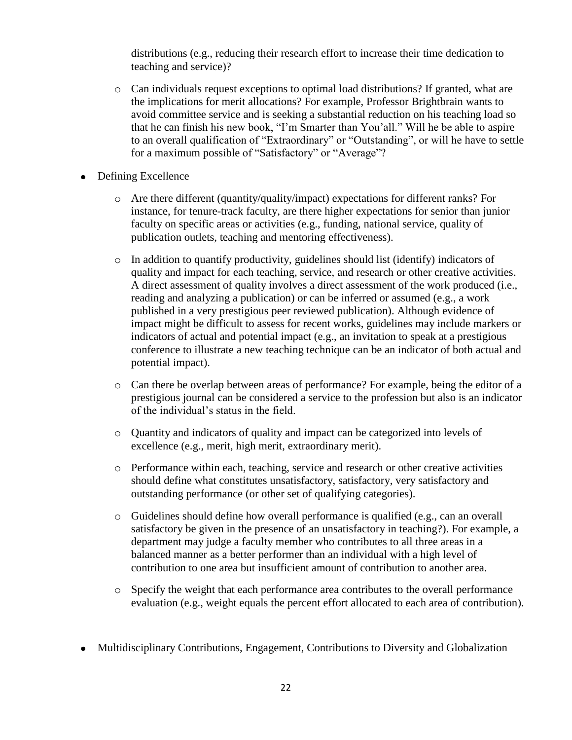distributions (e.g., reducing their research effort to increase their time dedication to teaching and service)?

- $\circ$  Can individuals request exceptions to optimal load distributions? If granted, what are the implications for merit allocations? For example, Professor Brightbrain wants to avoid committee service and is seeking a substantial reduction on his teaching load so that he can finish his new book, "I'm Smarter than You'all." Will he be able to aspire to an overall qualification of "Extraordinary" or "Outstanding", or will he have to settle for a maximum possible of "Satisfactory" or "Average"?
- Defining Excellence
	- o Are there different (quantity/quality/impact) expectations for different ranks? For instance, for tenure-track faculty, are there higher expectations for senior than junior faculty on specific areas or activities (e.g., funding, national service, quality of publication outlets, teaching and mentoring effectiveness).
	- o In addition to quantify productivity, guidelines should list (identify) indicators of quality and impact for each teaching, service, and research or other creative activities. A direct assessment of quality involves a direct assessment of the work produced (i.e., reading and analyzing a publication) or can be inferred or assumed (e.g., a work published in a very prestigious peer reviewed publication). Although evidence of impact might be difficult to assess for recent works, guidelines may include markers or indicators of actual and potential impact (e.g., an invitation to speak at a prestigious conference to illustrate a new teaching technique can be an indicator of both actual and potential impact).
	- o Can there be overlap between areas of performance? For example, being the editor of a prestigious journal can be considered a service to the profession but also is an indicator of the individual's status in the field.
	- o Quantity and indicators of quality and impact can be categorized into levels of excellence (e.g., merit, high merit, extraordinary merit).
	- o Performance within each, teaching, service and research or other creative activities should define what constitutes unsatisfactory, satisfactory, very satisfactory and outstanding performance (or other set of qualifying categories).
	- o Guidelines should define how overall performance is qualified (e.g., can an overall satisfactory be given in the presence of an unsatisfactory in teaching?). For example, a department may judge a faculty member who contributes to all three areas in a balanced manner as a better performer than an individual with a high level of contribution to one area but insufficient amount of contribution to another area.
	- o Specify the weight that each performance area contributes to the overall performance evaluation (e.g., weight equals the percent effort allocated to each area of contribution).
- Multidisciplinary Contributions, Engagement, Contributions to Diversity and Globalization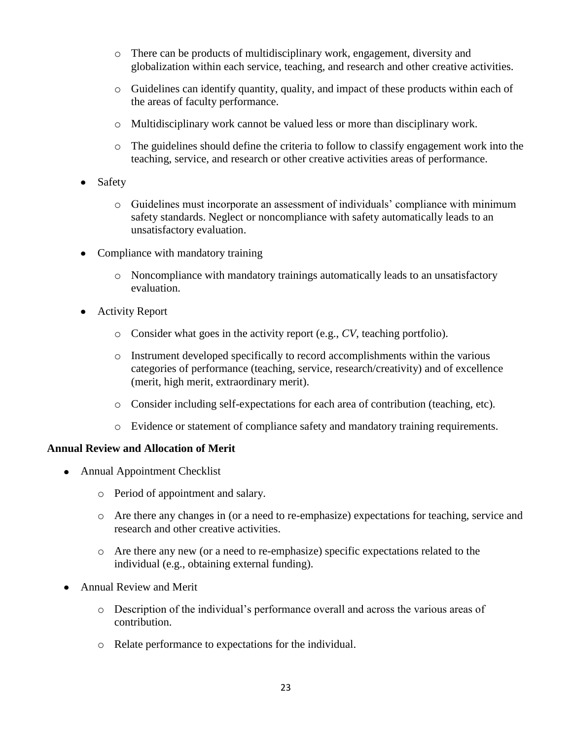- o There can be products of multidisciplinary work, engagement, diversity and globalization within each service, teaching, and research and other creative activities.
- o Guidelines can identify quantity, quality, and impact of these products within each of the areas of faculty performance.
- o Multidisciplinary work cannot be valued less or more than disciplinary work.
- $\circ$  The guidelines should define the criteria to follow to classify engagement work into the teaching, service, and research or other creative activities areas of performance.
- Safety
	- o Guidelines must incorporate an assessment of individuals' compliance with minimum safety standards. Neglect or noncompliance with safety automatically leads to an unsatisfactory evaluation.
- Compliance with mandatory training
	- o Noncompliance with mandatory trainings automatically leads to an unsatisfactory evaluation.
- Activity Report
	- o Consider what goes in the activity report (e.g., *CV*, teaching portfolio).
	- o Instrument developed specifically to record accomplishments within the various categories of performance (teaching, service, research/creativity) and of excellence (merit, high merit, extraordinary merit).
	- o Consider including self-expectations for each area of contribution (teaching, etc).
	- o Evidence or statement of compliance safety and mandatory training requirements.

## **Annual Review and Allocation of Merit**

- Annual Appointment Checklist
	- o Period of appointment and salary.
	- o Are there any changes in (or a need to re-emphasize) expectations for teaching, service and research and other creative activities.
	- o Are there any new (or a need to re-emphasize) specific expectations related to the individual (e.g., obtaining external funding).
- Annual Review and Merit  $\bullet$ 
	- o Description of the individual's performance overall and across the various areas of contribution.
	- o Relate performance to expectations for the individual.